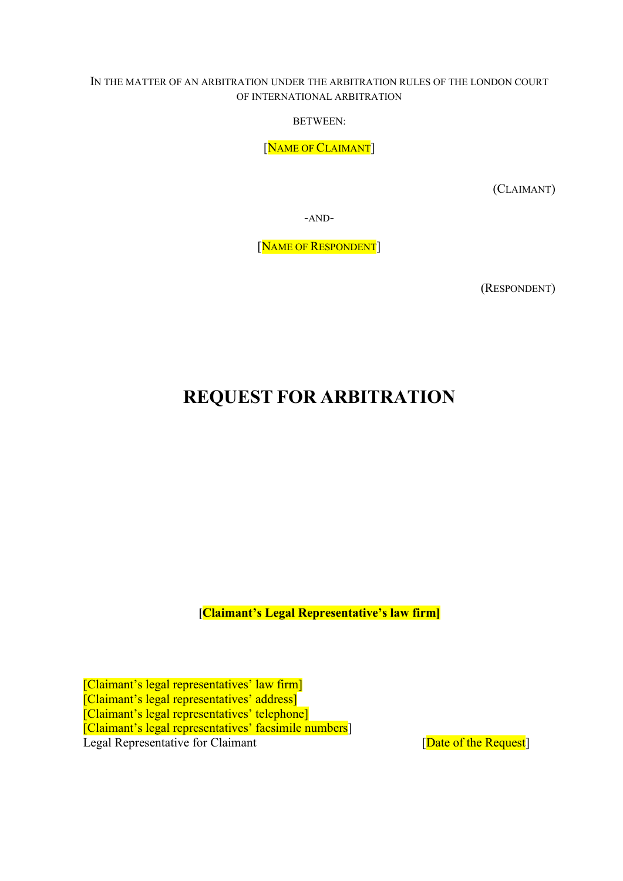#### IN THE MATTER OF AN ARBITRATION UNDER THE ARBITRATION RULES OF THE LONDON COURT OF INTERNATIONAL ARBITRATION

BETWEEN:

[NAME OF CLAIMANT]

(CLAIMANT)

-AND-

[NAME OF RESPONDENT]

(RESPONDENT)

# REQUEST FOR ARBITRATION

[Claimant's Legal Representative's law firm]

[Claimant's legal representatives' law firm] [Claimant's legal representatives' address] [Claimant's legal representatives' telephone] [Claimant's legal representatives' facsimile numbers] Legal Representative for Claimant [Date of the Request]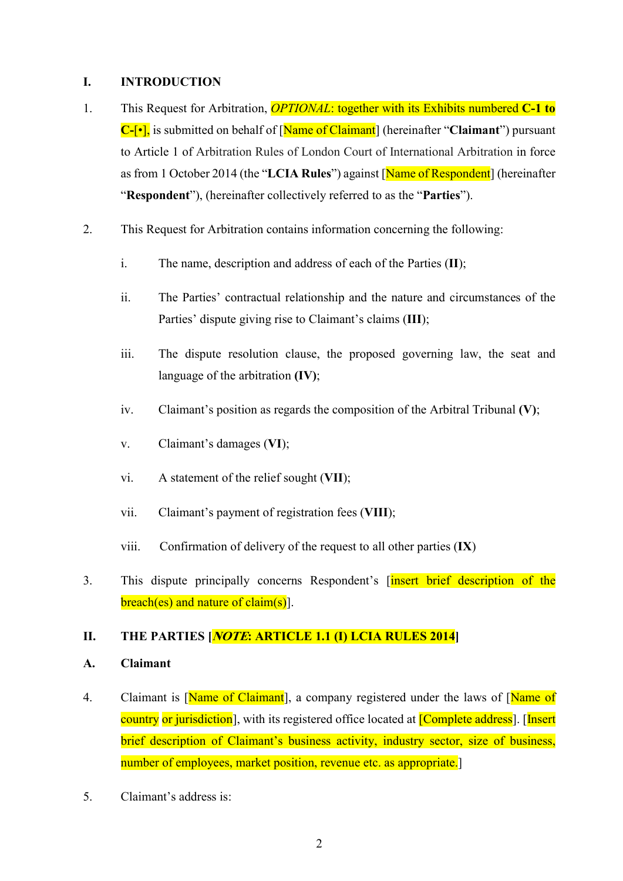#### I. INTRODUCTION

- 1. This Request for Arbitration, *OPTIONAL*: together with its Exhibits numbered C-1 to  $C$ -[ $\cdot$ ], is submitted on behalf of [Name of Claimant] (hereinafter "Claimant") pursuant to Article 1 of Arbitration Rules of London Court of International Arbitration in force as from 1 October 2014 (the "LCIA Rules") against [Name of Respondent] (hereinafter "Respondent"), (hereinafter collectively referred to as the "Parties").
- 2. This Request for Arbitration contains information concerning the following:
	- i. The name, description and address of each of the Parties (II);
	- ii. The Parties' contractual relationship and the nature and circumstances of the Parties' dispute giving rise to Claimant's claims (III);
	- iii. The dispute resolution clause, the proposed governing law, the seat and language of the arbitration (IV);
	- iv. Claimant's position as regards the composition of the Arbitral Tribunal  $(V)$ ;
	- v. Claimant's damages (VI);
	- vi. A statement of the relief sought (VII);
	- vii. Claimant's payment of registration fees (VIII);
	- viii. Confirmation of delivery of the request to all other parties (IX)
- 3. This dispute principally concerns Respondent's [insert brief description of the  $breach(es)$  and nature of claim(s).

# II. THE PARTIES **NOTE: ARTICLE 1.1 (I) LCIA RULES 2014**

#### A. Claimant

- 4. Claimant is [Name of Claimant], a company registered under the laws of [Name of country or jurisdiction], with its registered office located at *[Complete address*]. [Insert brief description of Claimant's business activity, industry sector, size of business, number of employees, market position, revenue etc. as appropriate.
- 5. Claimant's address is: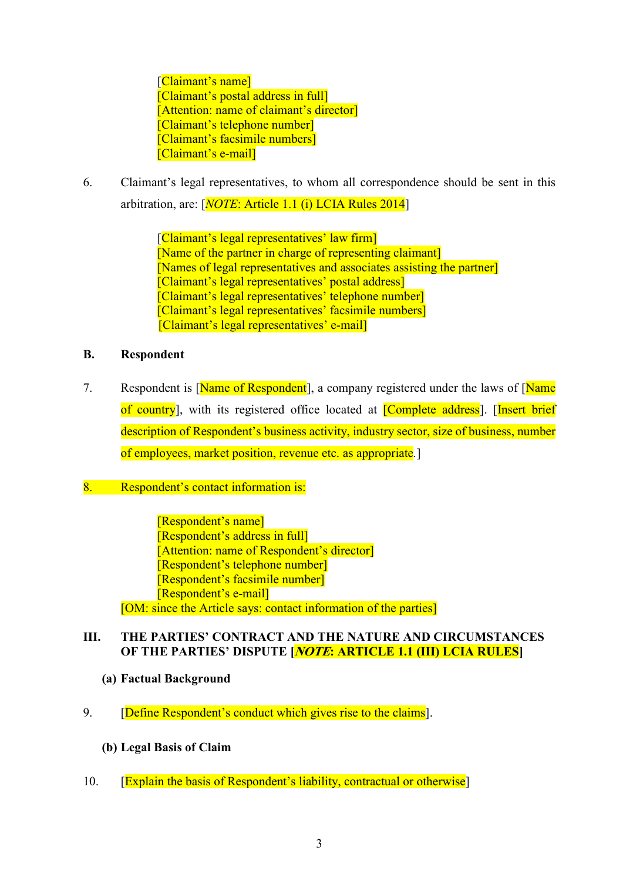[Claimant's name] [Claimant's postal address in full] [Attention: name of claimant's director] [Claimant's telephone number] [Claimant's facsimile numbers] [Claimant's e-mail]

6. Claimant's legal representatives, to whom all correspondence should be sent in this arbitration, are: [NOTE: Article 1.1 (i) LCIA Rules 2014]

> [Claimant's legal representatives' law firm] [Name of the partner in charge of representing claimant] [Names of legal representatives and associates assisting the partner] [Claimant's legal representatives' postal address] [Claimant's legal representatives' telephone number] [Claimant's legal representatives' facsimile numbers] [Claimant's legal representatives' e-mail]

#### B. Respondent

7. Respondent is [Name of Respondent], a company registered under the laws of [Name] of country], with its registered office located at [Complete address]. [Insert brief description of Respondent's business activity, industry sector, size of business, number of employees, market position, revenue etc. as appropriate.]

# 8. Respondent's contact information is:

[Respondent's name] [Respondent's address in full] [Attention: name of Respondent's director] [Respondent's telephone number] [Respondent's facsimile number] [Respondent's e-mail] [OM: since the Article says: contact information of the parties]

# III. THE PARTIES' CONTRACT AND THE NATURE AND CIRCUMSTANCES OF THE PARTIES' DISPUTE [*NOTE*: ARTICLE 1.1 (III) LCIA RULES]

- (a) Factual Background
- 9. **[Define Respondent's conduct which gives rise to the claims].** 
	- (b) Legal Basis of Claim
- 10. **[Explain the basis of Respondent's liability, contractual or otherwise]**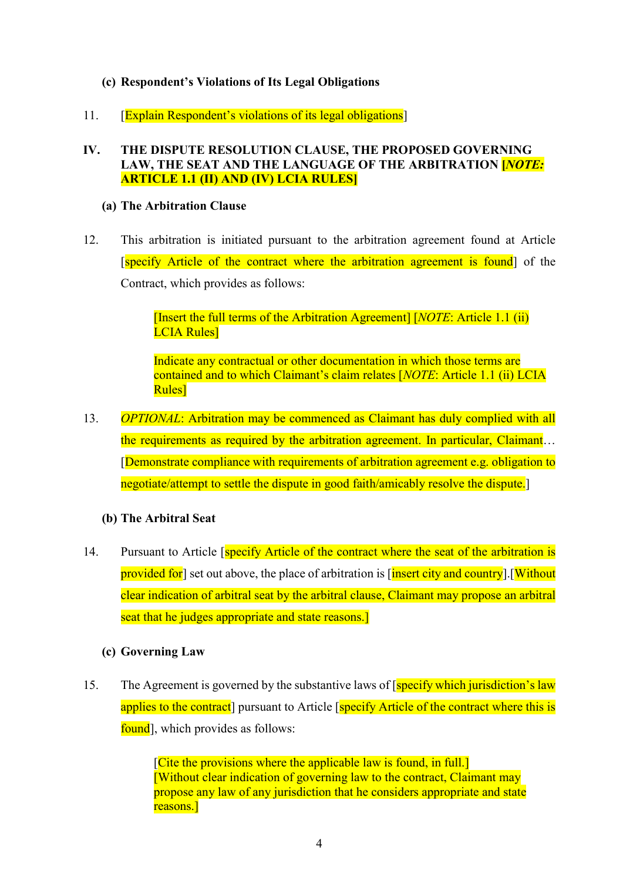# (c) Respondent's Violations of Its Legal Obligations

11. [Explain Respondent's violations of its legal obligations]

#### IV. THE DISPUTE RESOLUTION CLAUSE, THE PROPOSED GOVERNING LAW, THE SEAT AND THE LANGUAGE OF THE ARBITRATION **[NOTE:** ARTICLE 1.1 (II) AND (IV) LCIA RULES]

#### (a) The Arbitration Clause

12. This arbitration is initiated pursuant to the arbitration agreement found at Article [specify Article of the contract where the arbitration agreement is found] of the Contract, which provides as follows:

> [Insert the full terms of the Arbitration Agreement]  $[NOTE: Article 1.1 (ii)$ LCIA Rules]

Indicate any contractual or other documentation in which those terms are contained and to which Claimant's claim relates [NOTE: Article 1.1 (ii) LCIA Rules]

13. OPTIONAL: Arbitration may be commenced as Claimant has duly complied with all the requirements as required by the arbitration agreement. In particular, Claimant… [Demonstrate compliance with requirements of arbitration agreement e.g. obligation to negotiate/attempt to settle the dispute in good faith/amicably resolve the dispute.]

#### (b) The Arbitral Seat

14. Pursuant to Article *specify Article of the contract where the seat of the arbitration is* provided for set out above, the place of arbitration is [insert city and country].[Without clear indication of arbitral seat by the arbitral clause, Claimant may propose an arbitral seat that he judges appropriate and state reasons.

# (c) Governing Law

15. The Agreement is governed by the substantive laws of [specify which jurisdiction's law applies to the contract] pursuant to Article [specify Article of the contract where this is found, which provides as follows:

> [Cite the provisions where the applicable law is found, in full.] [Without clear indication of governing law to the contract, Claimant may propose any law of any jurisdiction that he considers appropriate and state reasons.]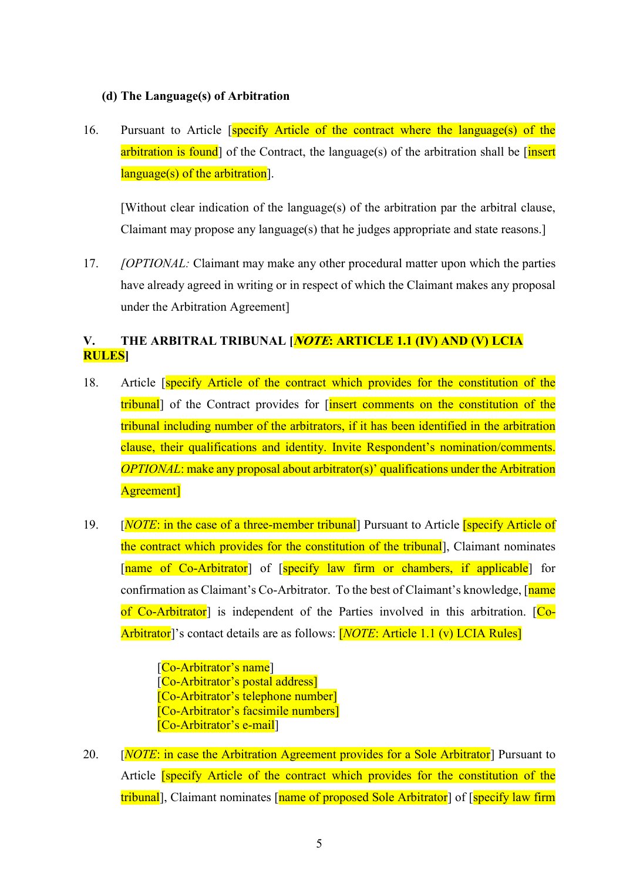#### (d) The Language(s) of Arbitration

16. Pursuant to Article [specify Article of the contract where the language(s) of the arbitration is found] of the Contract, the language(s) of the arbitration shall be  $\frac{1}{n}$ language(s) of the arbitration].

[Without clear indication of the language(s) of the arbitration par the arbitral clause, Claimant may propose any language(s) that he judges appropriate and state reasons.]

17. *[OPTIONAL: Claimant may make any other procedural matter upon which the parties* have already agreed in writing or in respect of which the Claimant makes any proposal under the Arbitration Agreement]

# V. THE ARBITRAL TRIBUNAL [*NOTE*: ARTICLE 1.1 (IV) AND (V) LCIA RULES]

- 18. Article **[specify Article of the contract which provides for the constitution of the** tribunal] of the Contract provides for *[insert comments on the constitution of the* tribunal including number of the arbitrators, if it has been identified in the arbitration clause, their qualifications and identity. Invite Respondent's nomination/comments. OPTIONAL: make any proposal about arbitrator(s)' qualifications under the Arbitration Agreement]
- 19. [*NOTE*: in the case of a three-member tribunal] Pursuant to Article **[specify Article of** the contract which provides for the constitution of the tribunal], Claimant nominates [name of Co-Arbitrator] of [specify law firm or chambers, if applicable] for confirmation as Claimant's Co-Arbitrator. To the best of Claimant's knowledge, [name of Co-Arbitrator] is independent of the Parties involved in this arbitration. [Co-Arbitrator<sup>'</sup> s contact details are as follows: **[NOTE: Article 1.1 (v) LCIA Rules**]

[Co-Arbitrator's name] [Co-Arbitrator's postal address] [Co-Arbitrator's telephone number] [Co-Arbitrator's facsimile numbers] [Co-Arbitrator's e-mail]

20. [*NOTE:* in case the Arbitration Agreement provides for a Sole Arbitrator<sup>]</sup> Pursuant to Article [specify Article of the contract which provides for the constitution of the tribunal], Claimant nominates [name of proposed Sole Arbitrator] of [specify law firm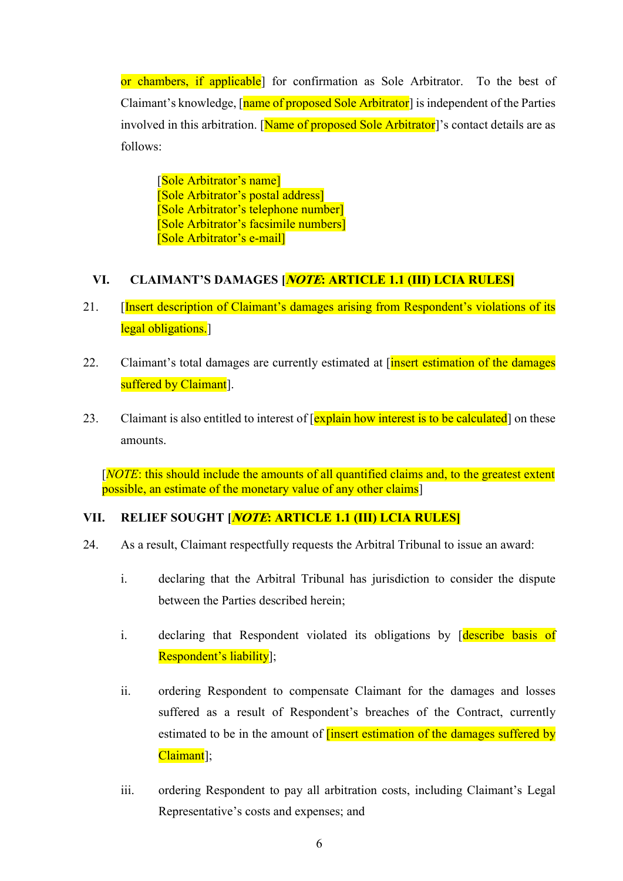or chambers, if applicable<sup>]</sup> for confirmation as Sole Arbitrator. To the best of Claimant's knowledge,  $\lceil$  name of proposed Sole Arbitrator is independent of the Parties involved in this arbitration. [Name of proposed Sole Arbitrator]'s contact details are as follows:

[Sole Arbitrator's name] [Sole Arbitrator's postal address] [Sole Arbitrator's telephone number] [Sole Arbitrator's facsimile numbers] [Sole Arbitrator's e-mail]

# VI. CLAIMANT'S DAMAGES [NOTE: ARTICLE 1.1 (III) LCIA RULES]

- 21. [Insert description of Claimant's damages arising from Respondent's violations of its legal obligations.
- 22. Claimant's total damages are currently estimated at  $\frac{1}{\text{insert estimation of the damages}}$ suffered by Claimant<sup>[1]</sup>.
- 23. Claimant is also entitled to interest of  $\sqrt{explain}$  how interest is to be calculated on these amounts.

[NOTE: this should include the amounts of all quantified claims and, to the greatest extent possible, an estimate of the monetary value of any other claims]

#### VII. RELIEF SOUGHT [*NOTE*: ARTICLE 1.1 (III) LCIA RULES]

- 24. As a result, Claimant respectfully requests the Arbitral Tribunal to issue an award:
	- i. declaring that the Arbitral Tribunal has jurisdiction to consider the dispute between the Parties described herein;
	- i. declaring that Respondent violated its obligations by [describe basis of Respondent's liability];
	- ii. ordering Respondent to compensate Claimant for the damages and losses suffered as a result of Respondent's breaches of the Contract, currently estimated to be in the amount of **[insert estimation of the damages suffered by** Claimant<sup>]</sup>;
	- iii. ordering Respondent to pay all arbitration costs, including Claimant's Legal Representative's costs and expenses; and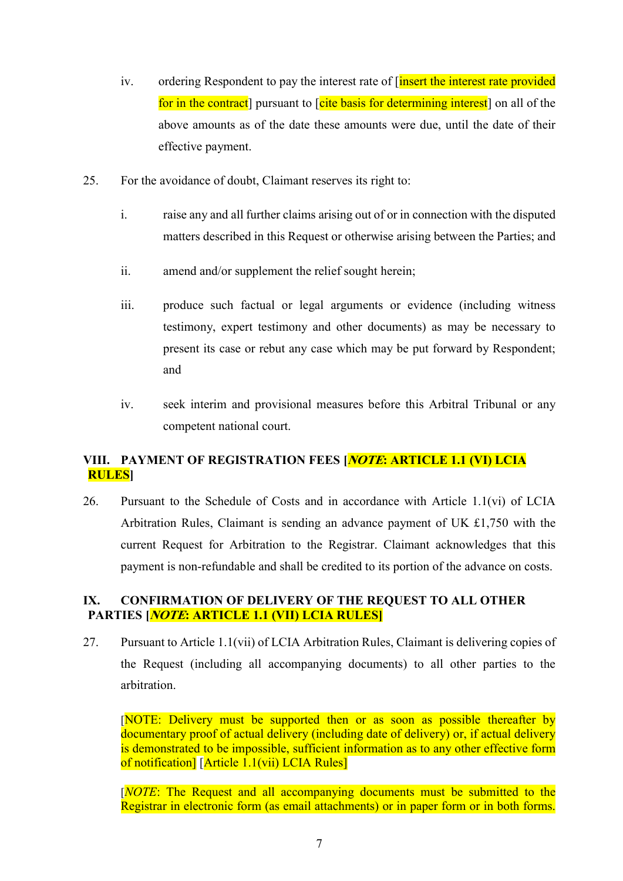- iv. ordering Respondent to pay the interest rate of [insert the interest rate provided for in the contract pursuant to [cite basis for determining interest] on all of the above amounts as of the date these amounts were due, until the date of their effective payment.
- 25. For the avoidance of doubt, Claimant reserves its right to:
	- i. raise any and all further claims arising out of or in connection with the disputed matters described in this Request or otherwise arising between the Parties; and
	- ii. amend and/or supplement the relief sought herein;
	- iii. produce such factual or legal arguments or evidence (including witness testimony, expert testimony and other documents) as may be necessary to present its case or rebut any case which may be put forward by Respondent; and
	- iv. seek interim and provisional measures before this Arbitral Tribunal or any competent national court.

# VIII. PAYMENT OF REGISTRATION FEES [*NOTE*: ARTICLE 1.1 (VI) LCIA RULES]

26. Pursuant to the Schedule of Costs and in accordance with Article 1.1(vi) of LCIA Arbitration Rules, Claimant is sending an advance payment of UK £1,750 with the current Request for Arbitration to the Registrar. Claimant acknowledges that this payment is non-refundable and shall be credited to its portion of the advance on costs.

#### IX. CONFIRMATION OF DELIVERY OF THE REQUEST TO ALL OTHER PARTIES [*NOTE*: ARTICLE 1.1 (VII) LCIA RULES]

27. Pursuant to Article 1.1(vii) of LCIA Arbitration Rules, Claimant is delivering copies of the Request (including all accompanying documents) to all other parties to the arbitration.

[NOTE: Delivery must be supported then or as soon as possible thereafter by documentary proof of actual delivery (including date of delivery) or, if actual delivery is demonstrated to be impossible, sufficient information as to any other effective form of notification] [Article 1.1(vii) LCIA Rules]

[NOTE: The Request and all accompanying documents must be submitted to the Registrar in electronic form (as email attachments) or in paper form or in both forms.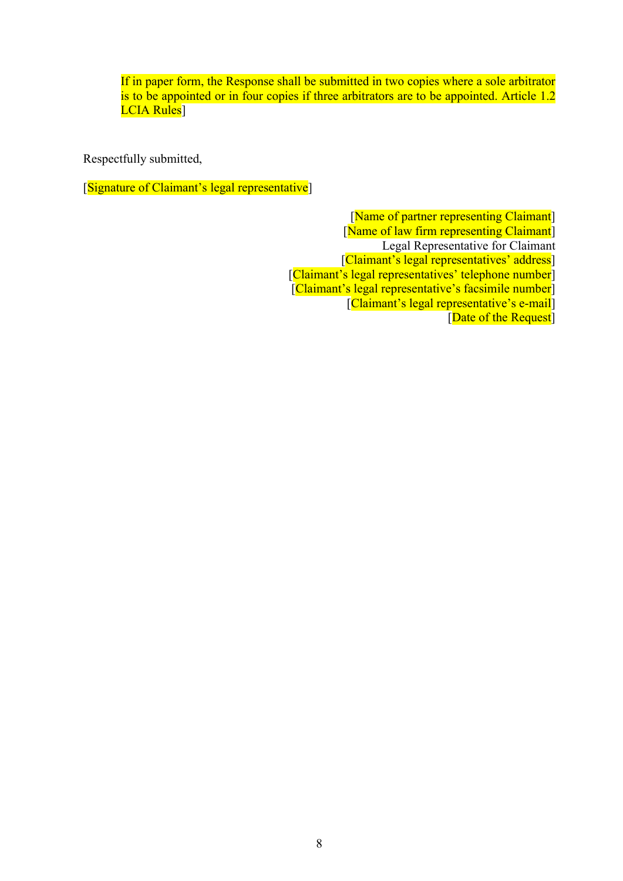If in paper form, the Response shall be submitted in two copies where a sole arbitrator is to be appointed or in four copies if three arbitrators are to be appointed. Article 1.2 LCIA Rules<sup>]</sup>

Respectfully submitted,

[Signature of Claimant's legal representative]

[Name of partner representing Claimant] [Name of law firm representing Claimant] Legal Representative for Claimant [Claimant's legal representatives' address] [Claimant's legal representatives' telephone number] [Claimant's legal representative's facsimile number] [Claimant's legal representative's e-mail] [Date of the Request]